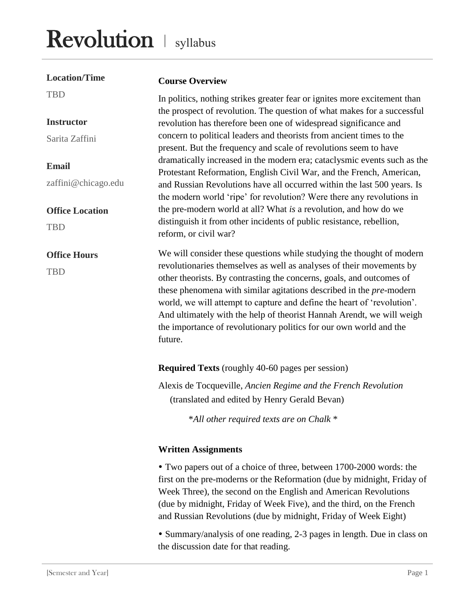## Revolution | syllabus

| <b>Location/Time</b>                 | <b>Course Overview</b>                                                                                                                                                                                                                                                                                                                                                                                                                                                                                                            |
|--------------------------------------|-----------------------------------------------------------------------------------------------------------------------------------------------------------------------------------------------------------------------------------------------------------------------------------------------------------------------------------------------------------------------------------------------------------------------------------------------------------------------------------------------------------------------------------|
| <b>TBD</b>                           | In politics, nothing strikes greater fear or ignites more excitement than<br>the prospect of revolution. The question of what makes for a successful                                                                                                                                                                                                                                                                                                                                                                              |
| <b>Instructor</b>                    | revolution has therefore been one of widespread significance and                                                                                                                                                                                                                                                                                                                                                                                                                                                                  |
| Sarita Zaffini                       | concern to political leaders and theorists from ancient times to the<br>present. But the frequency and scale of revolutions seem to have                                                                                                                                                                                                                                                                                                                                                                                          |
| <b>Email</b><br>zaffini@chicago.edu  | dramatically increased in the modern era; cataclysmic events such as the<br>Protestant Reformation, English Civil War, and the French, American,<br>and Russian Revolutions have all occurred within the last 500 years. Is                                                                                                                                                                                                                                                                                                       |
| <b>Office Location</b><br><b>TBD</b> | the modern world 'ripe' for revolution? Were there any revolutions in<br>the pre-modern world at all? What is a revolution, and how do we<br>distinguish it from other incidents of public resistance, rebellion,<br>reform, or civil war?                                                                                                                                                                                                                                                                                        |
| <b>Office Hours</b><br><b>TBD</b>    | We will consider these questions while studying the thought of modern<br>revolutionaries themselves as well as analyses of their movements by<br>other theorists. By contrasting the concerns, goals, and outcomes of<br>these phenomena with similar agitations described in the pre-modern<br>world, we will attempt to capture and define the heart of 'revolution'.<br>And ultimately with the help of theorist Hannah Arendt, we will weigh<br>the importance of revolutionary politics for our own world and the<br>future. |
|                                      | <b>Required Texts</b> (roughly 40-60 pages per session)                                                                                                                                                                                                                                                                                                                                                                                                                                                                           |
|                                      | Alexis de Tocqueville, Ancien Regime and the French Revolution<br>(translated and edited by Henry Gerald Bevan)                                                                                                                                                                                                                                                                                                                                                                                                                   |

\**All other required texts are on Chalk* \*

## **Written Assignments**

 Two papers out of a choice of three, between 1700-2000 words: the first on the pre-moderns or the Reformation (due by midnight, Friday of Week Three), the second on the English and American Revolutions (due by midnight, Friday of Week Five), and the third, on the French and Russian Revolutions (due by midnight, Friday of Week Eight)

 Summary/analysis of one reading, 2-3 pages in length. Due in class on the discussion date for that reading.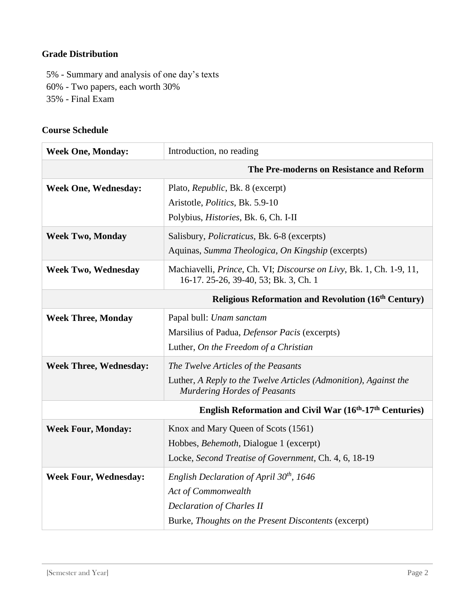## **Grade Distribution**

5% - Summary and analysis of one day's texts 60% - Two papers, each worth 30%

35% - Final Exam

## **Course Schedule**

| <b>Week One, Monday:</b>                                   | Introduction, no reading                                                                                     |  |
|------------------------------------------------------------|--------------------------------------------------------------------------------------------------------------|--|
| The Pre-moderns on Resistance and Reform                   |                                                                                                              |  |
| <b>Week One, Wednesday:</b>                                | Plato, Republic, Bk. 8 (excerpt)                                                                             |  |
|                                                            | Aristotle, <i>Politics</i> , Bk. 5.9-10                                                                      |  |
|                                                            | Polybius, <i>Histories</i> , Bk. 6, Ch. I-II                                                                 |  |
| <b>Week Two, Monday</b>                                    | Salisbury, <i>Policraticus</i> , Bk. 6-8 (excerpts)                                                          |  |
|                                                            | Aquinas, Summa Theologica, On Kingship (excerpts)                                                            |  |
| <b>Week Two, Wednesday</b>                                 | Machiavelli, Prince, Ch. VI; Discourse on Livy, Bk. 1, Ch. 1-9, 11,<br>16-17. 25-26, 39-40, 53; Bk. 3, Ch. 1 |  |
| <b>Religious Reformation and Revolution (16th Century)</b> |                                                                                                              |  |
| <b>Week Three, Monday</b>                                  | Papal bull: Unam sanctam                                                                                     |  |
|                                                            | Marsilius of Padua, Defensor Pacis (excerpts)                                                                |  |
|                                                            | Luther, On the Freedom of a Christian                                                                        |  |
| <b>Week Three, Wednesday:</b>                              | The Twelve Articles of the Peasants                                                                          |  |
|                                                            | Luther, A Reply to the Twelve Articles (Admonition), Against the<br><b>Murdering Hordes of Peasants</b>      |  |
| English Reformation and Civil War (16th-17th Centuries)    |                                                                                                              |  |
| <b>Week Four, Monday:</b>                                  | Knox and Mary Queen of Scots (1561)                                                                          |  |
|                                                            | Hobbes, Behemoth, Dialogue 1 (excerpt)                                                                       |  |
|                                                            | Locke, Second Treatise of Government, Ch. 4, 6, 18-19                                                        |  |
| <b>Week Four, Wednesday:</b>                               | English Declaration of April $30th$ , 1646                                                                   |  |
|                                                            | Act of Commonwealth                                                                                          |  |
|                                                            | <b>Declaration of Charles II</b>                                                                             |  |
|                                                            | Burke, Thoughts on the Present Discontents (excerpt)                                                         |  |